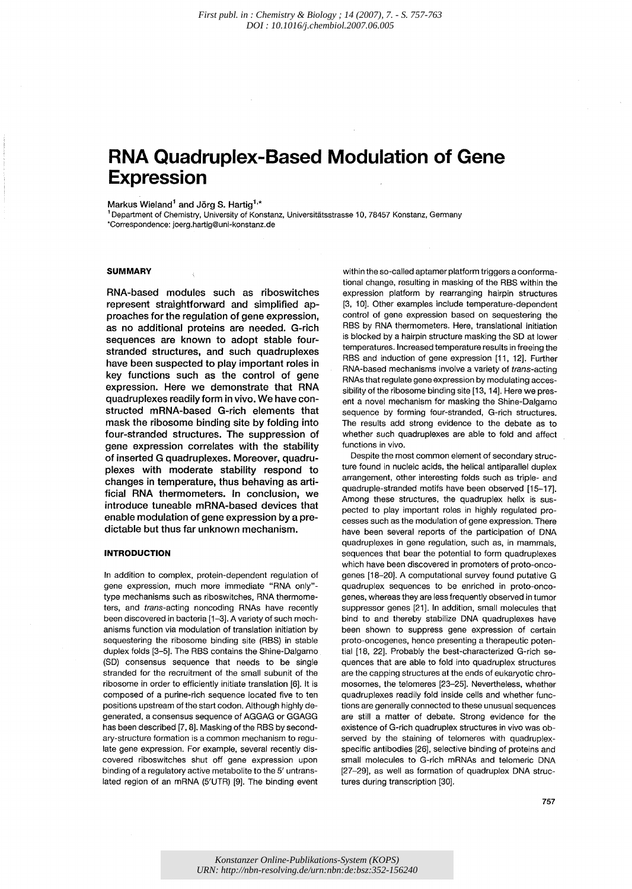# **RNA Quadruplex-Based Modulation of Gene Expression**

# Markus Wieland<sup>1</sup> and Jörg S. Hartig<sup>1,\*</sup>

<sup>1</sup> Department of Chemistry, University of Konstanz, Universitätsstrasse 10, 78457 Konstanz, Germany ·Correspondence: joerg.hartig@uni-konstanz.de

# **SUMMARY**

RNA-based modules such as riboswitches represent straightforward and simplified approaches for the regulation of gene expression, as no additional proteins are needed. G-rich sequences are known to adopt stable fourstranded structures, and such quadruplexes have been suspected to play important roles in key functions such as the control of gene expression. Here we demonstrate that RNA quadruplexes readily form in vivo. We have constructed mRNA-based G-rich elements that mask the ribosome binding site by folding into four-stranded structures. The suppression of gene expression correlates with the stability of inserted G quadruplexes. Moreover, quadruplexes with moderate stability respond to changes in temperature, thus behaving as artificial RNA thermometers. In conclusion, we introduce tuneable mRNA-based devices that enable modulation of gene expression by a predictable but thus far unknown mechanism.

## **INTRODUCTION**

In addition to complex, protein-dependent regulation of gene expression, much more immediate "RNA only" type mechanisms such as riboswitches, RNA thermometers, and trans-acting noncoding RNAs have recently been discovered in bacteria [1-3]. A variety of such mechanisms function via modulation of translation initiation by sequestering the ribosome binding site (RBS) in stable duplex folds [3-5]. The RBS contains the Shine-Dalgarno (SD) consensus sequence that needs to be single stranded for the recruitment of the small subunit of the ribosome in order to efficiently initiate translation [6]. It is composed of a purine-rich sequence located five to ten positions upstream of the start codon. Although highly degenerated, a consensus sequence of AGGAG or GGAGG has been described [7, 8]. Masking of the RBS by secondary-structure formation is a common mechanism to regulate gene expression. For example, several recently discovered riboswitches shut off gene expression upon binding of a regulatory active metabolite to the 5' untranslated region of an mRNA (5'UTR) [9]. The binding event

within the so-called aptamer platform triggers a conformational change, resulting in masking of the RSS within the expression platform by rearranging hairpin structures [3, 10]. Other examples include temperature-dependent control of gene expression based on sequestering the RSS by RNA thermometers. Here, translational initiation is blocked by a hairpin structure masking the SD at lower temperatures. Increased temperature results in freeing the RBS and induction of gene expression [11, 12]. Further RNA-based mechanisms involve a variety of trans-acting RNAs that regulate gene expression by modulating accessibility of the ribosome binding site [13, 14]. Here we present a novel mechanism for masking the Shine-Dalgarno sequence by forming four-stranded, G-rich structures. The results add strong evidence to the debate as to whether such quadruplexes are able to fold and affect functions in vivo.

Despite the most common element of secondary structure found in nucleic acids, the helical antiparallel duplex arrangement, other interesting folds such as triple- and quadruple-stranded motifs have been observed [15-17]. Among these structures, the quadruplex helix is suspected to play important roles in highly regulated processes such as the modulation of gene expression. There have been several reports of the participation of DNA quadruplexes in gene regulation, such as, in mammals, sequences that bear the potential to form quadruplexes which have been discovered in promoters of proto-oncogenes [18-20]. A computational survey found putative G quadruplex sequences to be enriched in proto-oncogenes, whereas they are less frequently observed in tumor suppressor genes [21]. In addition, small molecules that bind to and thereby stabilize DNA quadruplexes have been shown to suppress gene expression of certain proto-oncogenes, hence presenting a therapeutic potential [18, 22]. Probably the best-characterized G-rich sequences that are able to fold into quadruplex structures are the capping structures at the ends of eukaryotic chromosomes, the telomeres [23-25]. Nevertheless, whether quadruplexes readily fold inside cells and whether functions are generally connected to these unusual sequences are still a matter of debate. Strong evidence for the existence of G-rich quadruplex structures in vivo was observed by the staining of telomeres with quadruplexspecific antibodies [26], selective binding of proteins and small molecules to G-rich mRNAs and telomeric DNA [27-29], as well as formation of quadruplex DNA structures during transcription [30].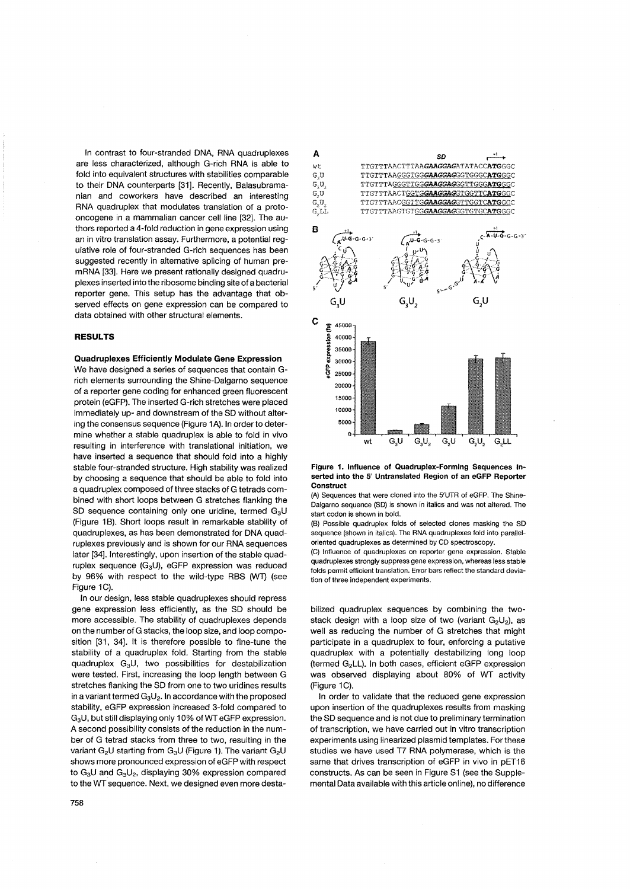In contrast to four-stranded DNA, RNA quadruplexes are less characterized, although G-rich RNA is able to fold into equivalent structures with stabilities comparable to their DNA counterparts [31]. Recently, Balasubramanian and coworkers have described an interesting RNA quadruplex that modulates translation of a protooncogene in a mammalian cancer cell line [32]. The authors reported a 4-fold reduction in gene expression using an in vitro translation assay. Furthermore, a potential regulative role of four-stranded G-rich sequences has been suggested recently in alternative splicing of human premRNA [33]. Here we present rationally designed quadruplexes inserted into the ribosome binding site of a bacterial reporter gene. This setup has the advantage that observed effects on gene expression can be compared to data obtained with other structural elements.

# **RESULTS**

Quadruplexes Efficiently Modulate Gene Expression

We have designed a series of sequences that contain Grich elements surrounding the Shine-Dalgarno sequence of a reporter gene coding for enhanced green fluorescent protein (eGFP). The inserted G-rich stretches were placed immediately up- and downstream of the SD without altering the consensus sequence (Figure 1A). In order to determine whether a stable quadruplex is able to fold in vivo resulting in interference with translational initiation, we have inserted a sequence that should fold into a highly stable four-stranded structure. High stability was realized by choosing a sequence that should be able to fold into a quadruplex composed of three stacks of G tetrads combined with short loops between G stretches flanking the SD sequence containing only one uridine, termed  $G_3U$ (Figure 1B). Short loops result in remarkable stability of quadruplexes, as has been demonstrated for DNA quadruplexes previously and is shown for our RNA sequences later [34]. Interestingly, upon insertion of the stable quadruplex sequence  $(G_3U)$ , eGFP expression was reduced by 96% with respect to the wild-type RBS (WT) (see Figure 1C).

In our design, less stable quadruplexes should repress gene expression less efficiently, as the SD should be more accessible. The stability of quadruplexes depends on the number of G stacks, the loop size, and loop composition [31, 34]. It is therefore possible to fine-tune the stability of a quadruplex fold. Starting from the stable quadruplex G<sub>3</sub>U, two possibilities for destabilization were tested. First, increasing the loop length between G stretches flanking the SD from one to two uridines results in a variant termed  $G_3U_2$ . In accordance with the proposed stability, eGFP expression increased 3-fold compared to G3U, but still displaying only 10% ofWT eGFP expression. A second possibility consists of the reduction in the number of G tetrad stacks from three to two, resulting in the variant  $G_2U$  starting from  $G_3U$  (Figure 1). The variant  $G_2U$ shows more pronounced expression of eGFP with respect to  $G_3U$  and  $G_3U_2$ , displaying 30% expression compared to the WT sequence. Next, we designed even more desta-





(A) Sequences that were cloned into the 5'UTR of eGFP. The Shine-Oalgarno sequence (SO) is shown in italics and was not altered. The start codon is shown in bold.

(8) Possible quadruplex folds of selected clones masking the SO sequence (shown in italics). The RNA quadruplexes fold into paralleloriented quadruplexes as determined by CO spectroscopy.

(C) Influence of quadruplexes on reporter gene expression. Stable quadruplexes strongly suppress gene expression, whereas less stable folds permit efficient translation. Error bars reflect the standard deviation of three independent experiments.

bilized quadruplex sequences by combining the twostack design with a loop size of two (variant  $G_2U_2$ ), as well as reducing the number of G stretches that might participate in a quadruplex to four, enforcing a putative quadruplex with a potentially destabilizing long loop (termed G<sub>2</sub>LL). In both cases, efficient eGFP expression was observed displaying about 80% of WT activity (Figure 1C).

In order to validate that the reduced gene expression upon insertion of the quadruplexes results from masking the SD sequence and is not due to preliminary termination of transcription, we have carried out in vitro transcription experiments using linearized plasmid templates. For these studies we have used T7 RNA polymerase, which is the same that drives transcription of eGFP in vivo in pET16 constructs. As can be seen in Figure S1 (see the Supplemental Data available with this article online), no difference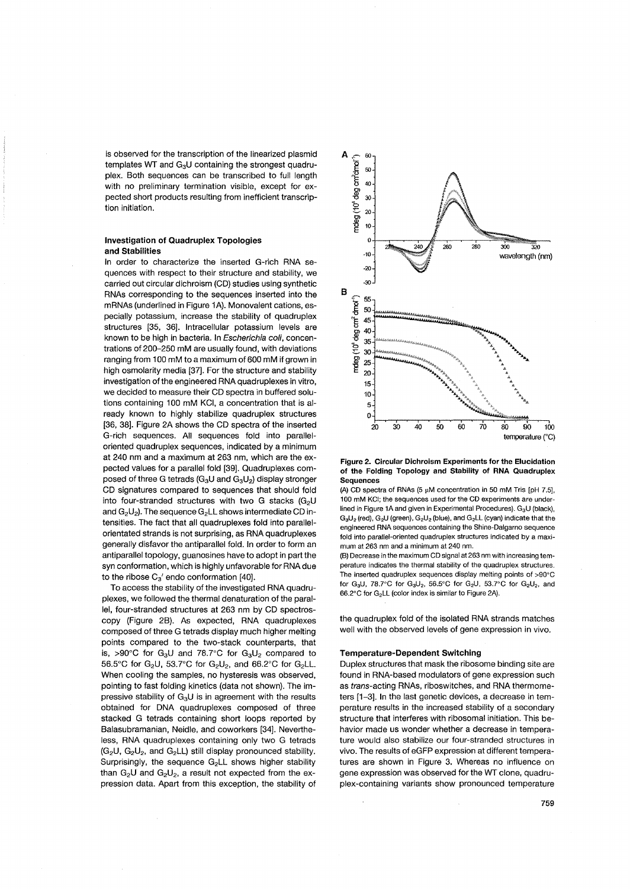is observed for the transcription of the linearized plasmid templates WT and G<sub>3</sub>U containing the strongest quadruplex. Both sequences can be transcribed to full length with no preliminary termination visible, except for expected short products resulting from inefficient transcription initiation.

## Investigation of Quadruplex Topologies and Stabilities

In order to characterize the inserted G-rich RNA sequences with respect to their structure and stability, we carried out circular dichroism (CD) studies using synthetic RNAs corresponding to the sequences inserted into the mRNAs (underlined in Figure 1A). Monovalent cations, especially potassium, increase the stability of quadruplex structures [35, 36). Intracellular potassium levels are known to be high in bacteria. In Escherichia coli, concentrations of 200-250 mM are usually found, with deviations ranging from 100 mM to a maximum of 600 mM if grown in high osmolarity media [37]. For the structure and stability investigation of the engineered RNA quadruplexes in vitro, we decided to measure their CD spectra in buffered solutions containing 100 mM KCI, a concentration that is already known to highly stabilize quadruplex structures [36, 38). Figure 2A shows the CD spectra of the inserted G-rich sequences. All sequences fold into paralleloriented quadruplex sequences, indicated by a minimum at 240 nm and a maximum at 263 nm, which are the expected values for a parallel fold [39). Quadruplexes composed of three G tetrads (G<sub>3</sub>U and G<sub>3</sub>U<sub>2</sub>) display stronger CD signatures compared to sequences that should fold into four-stranded structures with two G stacks (G<sub>2</sub>U and  $G_2U_2$ ). The sequence  $G_2LL$  shows intermediate CD intensities. The fact that all quadruplexes fold into parallelorientated strands is not surprising, as RNA quadruplexes generally disfavor the antiparallel fold. In order to form an antiparallel topology, guanosines have to adopt in part the syn conformation, which is highly unfavorable for RNA due to the ribose  $C_3'$  endo conformation [40].

To access the stability of the investigated RNA quadruplexes, we followed the thermal denaturation of the parallel, four-stranded structures at 263 nm by CD spectroscopy (Figure 2B). As expected, RNA quadruplexes composed of three G tetrads display much higher melting points compared to the two-stack counterparts, that is, >90°C for G<sub>3</sub>U and  $78.7$ °C for G<sub>3</sub>U<sub>2</sub> compared to 56.5°C for G<sub>2</sub>U, 53.7°C for G<sub>2</sub>U<sub>2</sub>, and 66.2°C for G<sub>2</sub>LL. When cooling the samples, no hysteresis was observed, pointing to fast folding kinetics (data not shown). The impressive stability of  $G_3U$  is in agreement with the results obtained for DNA quadruplexes composed of three stacked G tetrads containing short loops reported by Balasubramanian, Neidle, and coworkers [34). Nevertheless, RNA quadruplexes containing only two G tetrads  $(G_2U, G_2U_2,$  and  $G_2LL$ ) still display pronounced stability. Surprisingly, the sequence G<sub>2</sub>LL shows higher stability than  $G_2U$  and  $G_2U_2$ , a result not expected from the expression data. Apart from this exception, the stability of



#### Figure 2. Circular Dichroism Experiments for the Elucidation of the Folding Topology and Stability of RNA Quadruplex **Sequences**

(A) CD spectra of RNAs (5  $\mu$ M concentration in 50 mM Tris [pH 7.5], 100 mM KCI; the sequences used for the CD experiments are underlined in Figure 1A and given in Experimental Procedures). G<sub>2</sub>U (black).  $G_3U_2$  (red),  $G_2U$  (green),  $G_2U_2$  (blue), and  $G_2LL$  (cyan) indicate that the engineered RNA sequences containing the Shine-Dalgarno sequence fold into parallel-oriented quadruplex structures indicated by a maximum at 263 nm and a minimum at 240 nm.

(8) Decrease in the maximum CD signal at 263 nm with increasing temperature indicates the thermal stability of the quadruplex structures. The inserted quadruplex sequences display melting points of >90'C for G<sub>3</sub>U, 78.7°C for G<sub>3</sub>U<sub>2</sub>, 56.5°C for G<sub>2</sub>U, 53.7°C for G<sub>2</sub>U<sub>2</sub>, and  $66.2^{\circ}$ C for G<sub>2</sub>LL (color index is similar to Figure 2A).

the quadruplex fold of the isolated RNA strands matches well with the observed levels of gene expression in vivo.

## Temperature-Dependent Switching

Duplex structures that mask the ribosome binding site are found in RNA-based modulators of gene expression such as trans-acting RNAs, riboswitches, and RNA thermometers [1-3). In the last genetic devices, a decrease in temperature results in the increased stability of a secondary structure that interferes with ribosomal initiation. This behavior made us wonder whether a decrease in temperature would also stabilize our four-stranded structures in vivo. The results of eGFP expression at different temperatures are shown in Figure 3. Whereas no influence on gene expression was observed for the WT clone, quadruplex-containing variants show pronounced temperature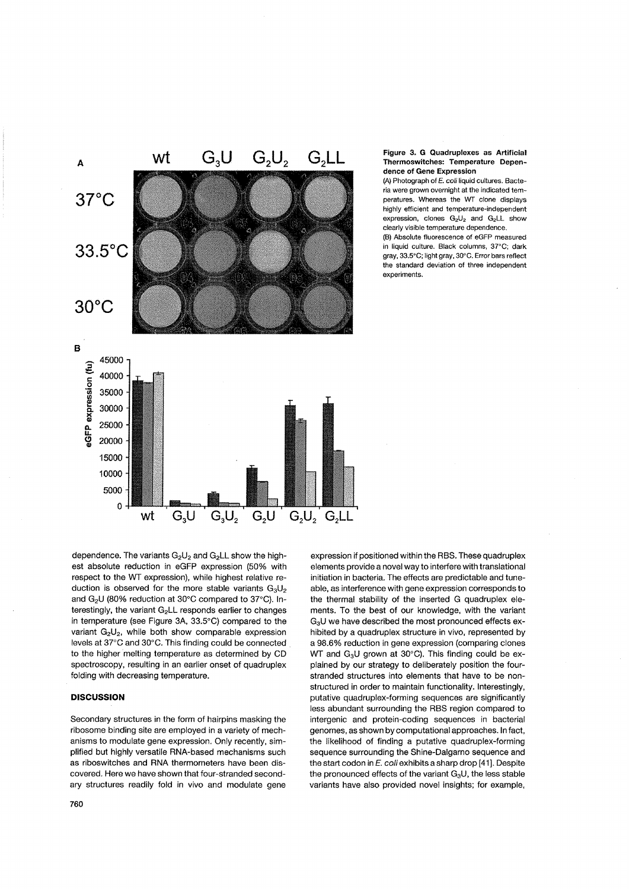

### Figure 3, G Quadruplexes as Artificial Thermoswitches: Temperature Dependence of Gene Expression

(Al Photograph of *E.* coli liquid cultures. Bacteria were grown overnight at the indicated temperatures. Whereas the WT clone displays highly efficient and temperature-independent expression, clones  $G_2U_2$  and  $G_2LL$  show clearly visible temperature dependence.

(B) Absolute fluorescence of eGFP measured in liquid culture. Black columns, 37°C; dark gray, 33.5"C; light gray, 30'C. Error bars reflect the standard deviation of three independent experiments.

dependence. The variants  $G_2U_2$  and  $G_2LL$  show the highest absolute reduction in eGFP expression (50% with respect to the WT expression), while highest relative reduction is observed for the more stable variants  $G_3U_2$ and  $G_2U$  (80% reduction at 30°C compared to 37°C). Interestingly, the variant  $G_2LL$  responds earlier to changes in temperature (see Figure 3A, 33.5°C) compared to the variant  $G_2U_2$ , while both show comparable expression levels at 37°C and 30°C. This finding could be connected to the higher melting temperature as determined by CD spectroscopy, resulting in an earlier onset of quadruplex folding with decreasing temperature.

# **DISCUSSION**

Secondary structures in the form of hairpins masking the ribosome binding site are employed in a variety of mechanisms to modulate gene expression. Only recently, simplified but highly versatile RNA-based mechanisms such as riboswitches and RNA thermometers have been discovered. Here we have shown that four-stranded secondary structures readily fold in vivo and modulate gene

expression if positioned within the RBS. These quadruplex elements provide a novel way to interfere with translational initiation in bacteria. The effects are predictable and tuneable, as interference with gene expression corresponds to the thermal stability of the inserted G quadruplex elements. To the best of our knowledge, with the variant G<sub>3</sub>U we have described the most pronounced effects exhibited by a quadruplex structure in vivo, represented by a 98.6% reduction in gene expression (comparing clones WT and  $G_3U$  grown at 30°C). This finding could be explained by our strategy to deliberately position the fourstranded structures into elements that have to be nonstructured in order to maintain functionality. Interestingly, putative quadruplex-forming sequences are significantly less abundant surrounding the RBS region compared to intergenic and protein-coding sequences in bacterial genomes, as shown by computational approaches. In fact, the likelihood of finding a putative quadruplex-forming sequence surrounding the Shine-Dalgarno sequence and the start codon in E. coli exhibits a sharp drop [41]. Despite the pronounced effects of the variant  $G_3U$ , the less stable variants have also provided novel insights; for example,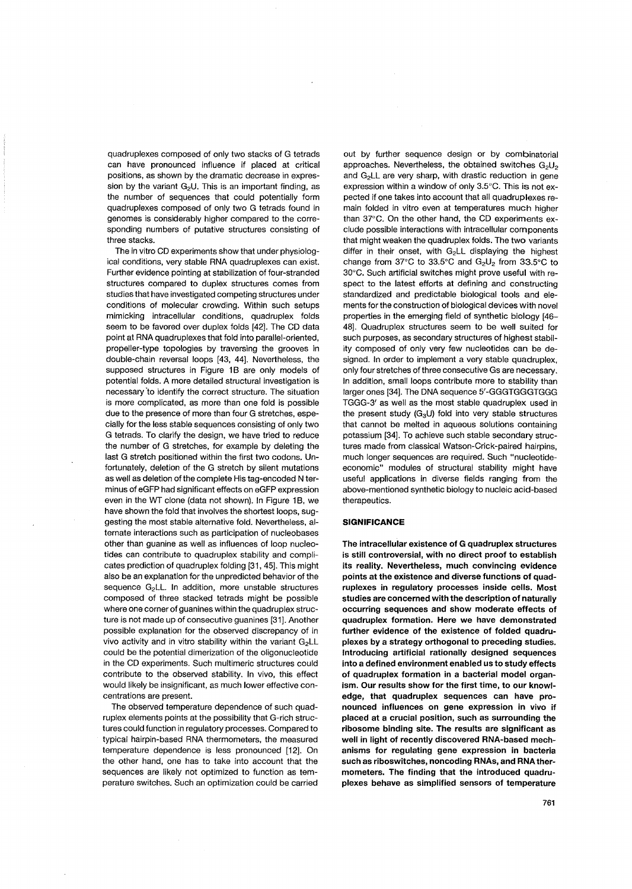quadruplexes composed of only two stacks of G tetrads can have pronounced influence if placed at critical positions, as shown by the dramatic decrease in expression by the variant  $G<sub>2</sub>U$ . This is an important finding, as the number of sequences that could potentially form quadruplexes composed of only two G tetrads found in genomes is considerably higher compared to the corresponding numbers of putative structures consisting of three stacks.

The in vitro CD experiments show that under physiological conditions, very stable RNA quadruplexes can exist. Further evidence pointing at stabilization of four-stranded structures compared to duplex structures comes from studies that have investigated competing structures under conditions of molecular crowding. Within such setups mimicking intracellular conditions, quadruplex folds seem to be favored over duplex folds [42]. The CD data point at RNA quadruplexes that fold into parallel-oriented, propeller-type topologies by traversing the grooves in double-chain reversal loops [43, 44]. Nevertheless, the supposed structures in Figure 1B are only models of potential folds. A more detailed structural investigation is necessary 'to identify the correct structure. The situation is more complicated, as more than one fold is possible due to the presence of more than four G stretches, especially for the less stable sequences consisting of only two G tetrads. To clarify the design, we have tried to reduce the number of G stretches, for example by deleting the last G stretch positioned within the first two codons. Unfortunately, deletion of the G stretch by silent mutations as well as deletion of the complete His tag-encoded N terminus of eGFP had significant effects on eGFP expression even in the WT clone (data not shown). In Figure 1B, we have shown the fold that involves the shortest loops, suggesting the most stable alternative fold, Nevertheless, alternate interactions such as participation of nucleobases other than guanine as well as influences of loop nucleotides can contribute to quadruplex stability and complicates prediction of quadruplex folding [31, 45], This might also be an explanation for the unpredicted behavior of the sequence  $G_2$ LL. In addition, more unstable structures composed of three stacked tetrads might be possible where one corner of guanines within the quadruplex structure is not made up of consecutive guanines [31]. Another possible explanation for the observed discrepancy of in vivo activity and in vitro stability within the variant G2LL could be the potential dimerization of the oligonucleotide in the CD experiments. Such multimeric structures could contribute to the observed stability. In vivo, this effect would likely be insignificant, as much lower effective concentrations are present.

The observed temperature dependence of such quadruplex elements points at the possibility that G-rich structures could function in regulatory processes. Compared to typical hairpin-based RNA thermometers, the measured temperature dependence is less pronounced [12]. On the other hand, one has to take into account that the sequences are likely not optimized to function as temperature switches. Such an optimization could be carried

out by further sequence design or by combinatorial approaches. Nevertheless, the obtained switches  $G_2U_2$ and  $G_2LL$  are very sharp, with drastic reduction in gene expression within a window of only 3.5°C. This is not expected if one takes into account that all quadruplexes remain folded in vitro even at temperatures much higher than 37°C. On the other hand, the CD experiments exclude possible interactions with intracellular components that might weaken the quadruplex folds. The two variants differ in their onset, with G<sub>2</sub>LL displaying the highest change from 37°C to 33.5°C and  $G_2U_2$  from 33.5°C to 30°C. Such artificial switches might prove useful with respect to the latest efforts at defining and constructing standardized and predictable biological tools and elements for the construction of biological devices with novel properties in the emerging field of synthetic biology [46- 48]. Quadruplex structures seem to be well suited for such purposes, as secondary structures of highest stability composed of only very few nucleotides can be designed. In order to implement a very stable quadruplex, only four stretches of three consecutive Gs are necessary, In addition, small loops contribute more to stability than larger ones [34], The DNA sequence 5'-GGGTGGGTGGG TGGG-3' as well as the most stable quadruplex used in the present study ( $G_3U$ ) fold into very stable structures that cannot be melted in aqueous solutions containing potassium [34]. To achieve such stable secondary structures made from classical Watson-Crick-paired hairpins, much longer sequences are required. Such "nucleotideeconomic" modules of structural stability might have useful applications in diverse fields ranging from the above-mentioned synthetic biology to nucleic acid-based therapeutics.

## **SIGNIFICANCE**

The intracellular existence of G quadruplex structures is still controversial, with no direct proof to establish its reality. Nevertheless, much convincing evidence points at the existence and diverse functions of quadruplexes in regulatory processes inside cells. Most studies are concerned with the description of naturally occurring sequences and show moderate effects of quadruplex formation. Here we have demonstrated further evidence of the existence of folded quadruplexes by a strategy orthogonal to preceding studies. Introducing artificial rationally designed sequences into a defined environment enabled us to study effects of quadruplex formation in a bacterial model organism. Our results show for the first time, to our knowledge, that quadruplex sequences can have pronounced influences on gene expression in vivo if placed at a crucial position, such as surrounding the ribosome binding site. The results are significant as well in light of recently discovered RNA-based mechanisms for regulating gene expression in bacteria such as riboswitches, noncoding RNAs, and **RNA** thermometers. The finding that the introduced quadruplexes behave as simplified sensors of temperature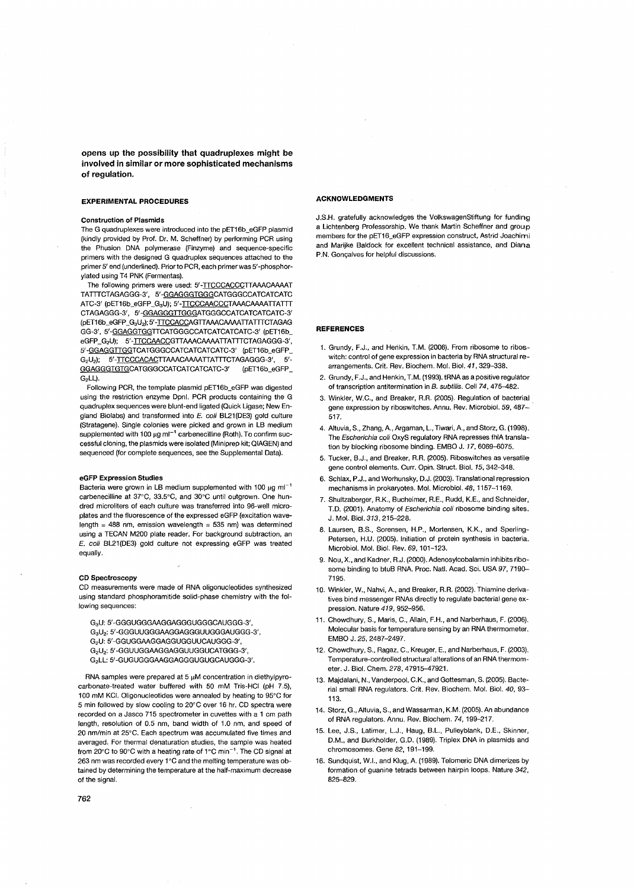**opens up the possibility that quadruplexes might be involved in similar or more sophisticated mechanisms of regulation.** 

#### **EXPERIMENTAL PROCEDURES**

## **Construction of Plasmids**

The G quadruplexes were introduced into the pET16b\_eGFP plasmid (kindly provided by Prof. Dr. M. Scheffner) by performing PCR using the Phusion DNA polymerase (Finzyme) and sequence-specific primers with the designed G quadruplex sequences attached to the primer 5' end (underlined). Prior to PCR, each primer was 5' -phosphorylated using T4 PNK (Fermentas).

The following primers were used: 5'-TTCCCACCCTTAAACAAAAT TA TTTCTAGAGGG-3', 5' -GGAGGGTGGGCATGGGCCATCATCATC ATC-3' (pET16b\_eGFP\_G<sub>3</sub>U); 5'-TTCCCAACCCTAAACAAAATTATTT CTAGAGGG-3', 5' -GGAGGGTTGGGA TGGGCCATCATCATCATC-3' (pET16b\_eGFP \_ G3U,,); 5' -TTCCACCAGTTAAACAAAATTA TTTCTAGAG GG-3', 5' -GGAGGTGGTTCATGGGCCATCATCATCATC-3' (pET16b\_ eGFP\_G<sub>2</sub>U); 5'-ITCCAACCGTTAAACAAAATTATTTCTAGAGGG-3', 5' -GGAGGTTGGTCATGGGCCATCATCATCATC-3' (pET16b\_eGFP\_ G<sub>2</sub>U<sub>2</sub>); 5'-TTCCCACACTTAAACAAAATTATTTCTAGAGGG-3', 5'-GGAGGGTGTGCATGGGCCATCATCATCATC-3' (pET16b\_eGFP\_ G<sub>2</sub>LL).

Following PCR, the template plasmid pET16b\_eGFP was digested using the restriction enzyme Dpnl. PCR products containing the G quadruplex sequences were blunt-end ligated (Quick Ligase; New England Biolabs) and transformed into  $E$ . coli BL21(DE3) gold culture (Stratagene). Single colonies were picked and grown in LB medium supplemented with 100  $\mu$ g ml<sup>-1</sup> carbenecilline (Roth). To confirm successful cloning, the plasmids were isolated (Miniprep kit; QIAGEN) and sequenced (for complete sequences, see the Supplemental Data).

## **eGFP Expression Studies**

Bacteria were grown in LB medium supplemented with 100 uo ml<sup>-1</sup> carbenecilline at 37"C, 33.5'C, and 30'C until outgrown. One hundred microliters of each culture was transferred into 96-well microplates and the fluorescence of the expressed eGFP (excitation wavelength = 488 nm, emission wavelength = 535 nm) was determined using a TECAN M200 plate reader. For background subtraction, an E. coli BL21(DE3) gold culture not expressing eGFP was treated equally.

#### **CD Spectroscopy**

CD measurements were made of RNA oligonucleotides synthesized using standard phosphoramitide solid-phase chemistry with the following sequences:

G3U: 5' -GGGUGGGAAGGAGGGUGGGCAUGGG-3', G3U2: 5' -GGGUUGGGAAGGAGGGUUGGGAUGGG-3', G2U: 5' -GGUGGAAGGAGGUGGUUCAUGGG-3', G<sub>2</sub>U<sub>2</sub>: 5'-GGUUGGAAGGAGGUUGGUCATGGG-3' G2LL: 5' -GUGUGGGAAGGAGGGUGUGCAUGGG-3'.

RNA samples were prepared at  $5 \mu$ M concentration in diethylpyrocarbonate-treated water buffered with 50 mM Tris-HCI (pH 7.5), 100 mM KCI. Oligonucleotides were annealed by heating to 95'C for 5 min followed by slow cooling to 20'C over 16 hr. CD spectra were recorded on a Jasco 715 spectrometer in cuvettes with a 1 cm path length, resolution of 0.5 nm, band width of 1.0 nm, and speed of 20 nm/min at 25°C. Each spectrum was accumulated five times and averaged. For thermal denaturation studies, the sample was heated from 20°C to 90°C with a heating rate of 1°C min<sup>-1</sup>. The CD signal at 263 nm was recorded every 1°C and the melting temperature was obtained by determining the temperature at the half-maximum decrease of the signal.

#### **ACKNOWLEDGMENTS**

J.S.H. gratefully acknowledges the VolkswagenStiftung for funding a Lichtenberg Professorship. We thank Martin Scheffner and group members for the pET16\_eGFP expression construct, Astrid Joachimi and Marijke Baldock for excellent technical assistance, and Diana P.N. Goncalves for helpful discussions.

### **REFERENCES**

- 1. Grundy, F.J., and Henkin, T.M. (2006). From ribosome to riboswitch: control of gene expression in bacteria by RNA structural rearrangements. Crit. Rev. Biochem. Mol. BioI. 41, 329-338.
- 2. Grundy, F.J., and Henkin, T.M. (1993). tRNA as a positive regulator of transcription antitermination in B. subtilis. Cell 74,475-482.
- 3. Winkler, W.C., and Breaker, R.R. (2005). Regulation of bacterial gene expression by riboswitches. Annu. Rev. Microbiol. 59, 487- 517.
- 4. Altuvia, S., Zhang, A., Argaman, L., Tiwari, A., and Storz, G. (1998). The Escherichia coli OxyS regulatory RNA represses fhlA translation by blocking ribosome binding. EMBO J. 17, 6069-6075.
- 5. Tucker, B.J., and Breaker, R.R (2005). Riboswitches as versatile gene control elements. Curr. Opin. Struct. Biol. 15, 342-348.
- 6. Schlax, P.J., and Worhunsky, D.J. (2003). Translational repression mechanisms in prokaryotes. Mol. Microbiol. 48, 1157-1169.
- 7. Shultzaberger, RK., Bucheimer, RE., Rudd, K.E., and Schneider, T.D. (2001). Anatomy of Escherichia coli ribosome binding sites. J. Mol. BioI. 313, 215-228.
- 8. Laursen, B.S., Sorensen, H.P., Mortensen, K.K., and Sperling-Petersen, H.U. (2005). Initiation of protein synthesis in bacteria. Microbiol. Mol. BioI. Rev. 69, 101-123.
- 9. Nou, X., and Kadner, RJ. (2000). Adenosylcobalamin inhibits ribosome binding to btuB RNA. Proc. Natl. Acad. Sci. USA 97, 7190- 7195.
- 10. Winkler, W., Nahvi, A., and Breaker, R.R. (2002). Thiamine derivatives bind messenger RNAs directly to regulate bacterial gene expression. Nature 419, 952-956.
- 11. Chowdhury, S., Maris, C., AIIain, F.H., and Narberhaus, F. (2006). Molecular basis for temperature sensing by an RNA thermometer. EMBO J. 25, 2487-2497.
- 12. Chowdhury, S., Ragaz, C., Kreuger, E., and Narberhaus, F. (2003). Temperature-controlled structural alterations of an RNA thermometer. J. BioI. Chem. 278, 47915-47921.
- 13. Majdalani, N., Vanderpool, C.K., and Gottesman, S. (2005). Bacterial small RNA regulators. Crit. Rev. Biochem. Mol. BioI. 40, 93- 113.
- 14. Storz, G., Altuvia, S., and Wassarman, K.M. (2005). An abundance of RNA regulators. Annu. Rev. Biochem. 74, 199-217.
- 15. Lee, J.S., Latimer, L.J., Haug, B.L., Pulleyblank, D.E., Skinner, D.M., and Burkholder, G.D. (1989). Triplex DNA in plasmids and chromosomes. Gene 82, 191-199.
- 16. Sundquist, W.I., and Klug, A. (1989). Telomeric DNA dimerizes by formation of guanine tetrads between hairpin loops. Nature 342, 825-829.